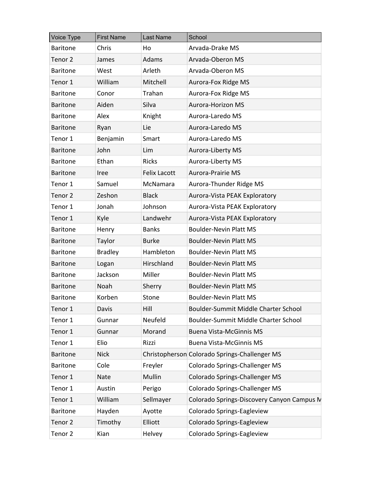| <b>Voice Type</b>  | <b>First Name</b> | <b>Last Name</b>    | School                                        |
|--------------------|-------------------|---------------------|-----------------------------------------------|
| <b>Baritone</b>    | Chris             | Ho                  | Arvada-Drake MS                               |
| Tenor <sub>2</sub> | James             | Adams               | Arvada-Oberon MS                              |
| <b>Baritone</b>    | West              | Arleth              | Arvada-Oberon MS                              |
| Tenor 1            | William           | Mitchell            | Aurora-Fox Ridge MS                           |
| <b>Baritone</b>    | Conor             | Trahan              | Aurora-Fox Ridge MS                           |
| <b>Baritone</b>    | Aiden             | Silva               | <b>Aurora-Horizon MS</b>                      |
| <b>Baritone</b>    | Alex              | Knight              | Aurora-Laredo MS                              |
| <b>Baritone</b>    | Ryan              | Lie                 | Aurora-Laredo MS                              |
| Tenor 1            | Benjamin          | Smart               | Aurora-Laredo MS                              |
| <b>Baritone</b>    | John              | Lim                 | Aurora-Liberty MS                             |
| <b>Baritone</b>    | Ethan             | <b>Ricks</b>        | Aurora-Liberty MS                             |
| <b>Baritone</b>    | Iree              | <b>Felix Lacott</b> | <b>Aurora-Prairie MS</b>                      |
| Tenor 1            | Samuel            | McNamara            | Aurora-Thunder Ridge MS                       |
| Tenor 2            | Zeshon            | <b>Black</b>        | Aurora-Vista PEAK Exploratory                 |
| Tenor 1            | Jonah             | Johnson             | Aurora-Vista PEAK Exploratory                 |
| Tenor 1            | Kyle              | Landwehr            | Aurora-Vista PEAK Exploratory                 |
| <b>Baritone</b>    | Henry             | <b>Banks</b>        | <b>Boulder-Nevin Platt MS</b>                 |
| <b>Baritone</b>    | Taylor            | <b>Burke</b>        | <b>Boulder-Nevin Platt MS</b>                 |
| <b>Baritone</b>    | <b>Bradley</b>    | Hambleton           | <b>Boulder-Nevin Platt MS</b>                 |
| <b>Baritone</b>    | Logan             | Hirschland          | <b>Boulder-Nevin Platt MS</b>                 |
| <b>Baritone</b>    | Jackson           | Miller              | <b>Boulder-Nevin Platt MS</b>                 |
| <b>Baritone</b>    | Noah              | Sherry              | <b>Boulder-Nevin Platt MS</b>                 |
| <b>Baritone</b>    | Korben            | Stone               | <b>Boulder-Nevin Platt MS</b>                 |
| Tenor 1            | Davis             | Hill                | Boulder-Summit Middle Charter School          |
| Tenor 1            | Gunnar            | Neufeld             | Boulder-Summit Middle Charter School          |
| Tenor 1            | Gunnar            | Morand              | <b>Buena Vista-McGinnis MS</b>                |
| Tenor 1            | Elio              | Rizzi               | <b>Buena Vista-McGinnis MS</b>                |
| <b>Baritone</b>    | <b>Nick</b>       |                     | Christopherson Colorado Springs-Challenger MS |
| <b>Baritone</b>    | Cole              | Freyler             | <b>Colorado Springs-Challenger MS</b>         |
| Tenor 1            | <b>Nate</b>       | Mullin              | <b>Colorado Springs-Challenger MS</b>         |
| Tenor 1            | Austin            | Perigo              | <b>Colorado Springs-Challenger MS</b>         |
| Tenor 1            | William           | Sellmayer           | Colorado Springs-Discovery Canyon Campus N    |
| <b>Baritone</b>    | Hayden            | Ayotte              | Colorado Springs-Eagleview                    |
| Tenor 2            | Timothy           | Elliott             | Colorado Springs-Eagleview                    |
| Tenor 2            | Kian              | Helvey              | Colorado Springs-Eagleview                    |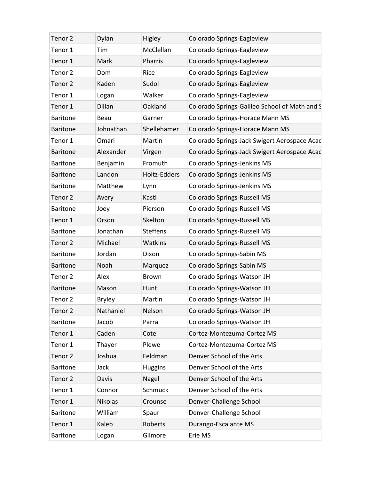| Tenor 2            | Dylan          | <b>Higley</b>   | Colorado Springs-Eagleview                    |
|--------------------|----------------|-----------------|-----------------------------------------------|
| Tenor 1            | Tim            | McClellan       | Colorado Springs-Eagleview                    |
| Tenor 1            | Mark           | Pharris         | Colorado Springs-Eagleview                    |
| Tenor <sub>2</sub> | Dom            | Rice            | Colorado Springs-Eagleview                    |
| Tenor <sub>2</sub> | Kaden          | Sudol           | Colorado Springs-Eagleview                    |
| Tenor 1            | Logan          | Walker          | Colorado Springs-Eagleview                    |
| Tenor 1            | Dillan         | Oakland         | Colorado Springs-Galileo School of Math and S |
| <b>Baritone</b>    | Beau           | Garner          | Colorado Springs-Horace Mann MS               |
| <b>Baritone</b>    | Johnathan      | Shellehamer     | Colorado Springs-Horace Mann MS               |
| Tenor 1            | Omari          | Martin          | Colorado Springs-Jack Swigert Aerospace Acad  |
| <b>Baritone</b>    | Alexander      | Virgen          | Colorado Springs-Jack Swigert Aerospace Acac  |
| <b>Baritone</b>    | Benjamin       | Fromuth         | <b>Colorado Springs-Jenkins MS</b>            |
| <b>Baritone</b>    | Landon         | Holtz-Edders    | <b>Colorado Springs-Jenkins MS</b>            |
| <b>Baritone</b>    | Matthew        | Lynn            | Colorado Springs-Jenkins MS                   |
| Tenor 2            | Avery          | Kastl           | <b>Colorado Springs-Russell MS</b>            |
| <b>Baritone</b>    | Joey           | Pierson         | <b>Colorado Springs-Russell MS</b>            |
| Tenor 1            | Orson          | Skelton         | <b>Colorado Springs-Russell MS</b>            |
| <b>Baritone</b>    | Jonathan       | <b>Steffens</b> | <b>Colorado Springs-Russell MS</b>            |
| Tenor 2            | Michael        | Watkins         | <b>Colorado Springs-Russell MS</b>            |
| <b>Baritone</b>    | Jordan         | Dixon           | Colorado Springs-Sabin MS                     |
| <b>Baritone</b>    | Noah           | Marquez         | Colorado Springs-Sabin MS                     |
| Tenor 2            | Alex           | <b>Brown</b>    | Colorado Springs-Watson JH                    |
| <b>Baritone</b>    | Mason          | Hunt            | Colorado Springs-Watson JH                    |
| Tenor 2            | <b>Bryley</b>  | Martin          | Colorado Springs-Watson JH                    |
| Tenor 2            | Nathaniel      | Nelson          | Colorado Springs-Watson JH                    |
| <b>Baritone</b>    | Jacob          | Parra           | Colorado Springs-Watson JH                    |
| Tenor 1            | Caden          | Cote            | Cortez-Montezuma-Cortez MS                    |
| Tenor 1            | Thayer         | Plewe           | Cortez-Montezuma-Cortez MS                    |
| Tenor <sub>2</sub> | Joshua         | Feldman         | Denver School of the Arts                     |
| <b>Baritone</b>    | Jack           | <b>Huggins</b>  | Denver School of the Arts                     |
| Tenor 2            | Davis          | Nagel           | Denver School of the Arts                     |
| Tenor 1            | Connor         | Schmuck         | Denver School of the Arts                     |
| Tenor 1            | <b>Nikolas</b> | Crounse         | Denver-Challenge School                       |
| <b>Baritone</b>    | William        | Spaur           | Denver-Challenge School                       |
| Tenor 1            | Kaleb          | Roberts         | Durango-Escalante MS                          |
| <b>Baritone</b>    | Logan          | Gilmore         | Erie MS                                       |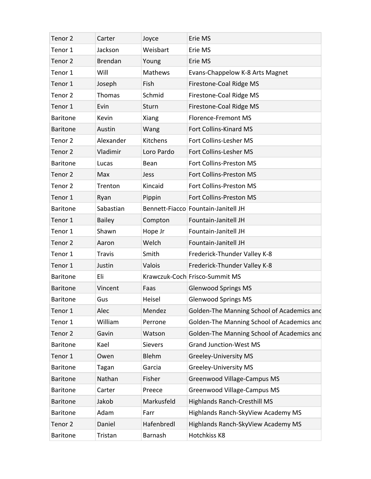| Tenor 2            | Carter         | Joyce          | Erie MS                                    |
|--------------------|----------------|----------------|--------------------------------------------|
| Tenor 1            | Jackson        | Weisbart       | Erie MS                                    |
| Tenor 2            | <b>Brendan</b> | Young          | Erie MS                                    |
| Tenor 1            | Will           | Mathews        | Evans-Chappelow K-8 Arts Magnet            |
| Tenor 1            | Joseph         | Fish           | Firestone-Coal Ridge MS                    |
| Tenor 2            | Thomas         | Schmid         | Firestone-Coal Ridge MS                    |
| Tenor 1            | Evin           | Sturn          | Firestone-Coal Ridge MS                    |
| <b>Baritone</b>    | Kevin          | Xiang          | Florence-Fremont MS                        |
| <b>Baritone</b>    | Austin         | Wang           | Fort Collins-Kinard MS                     |
| Tenor 2            | Alexander      | Kitchens       | Fort Collins-Lesher MS                     |
| Tenor 2            | Vladimir       | Loro Pardo     | Fort Collins-Lesher MS                     |
| <b>Baritone</b>    | Lucas          | Bean           | Fort Collins-Preston MS                    |
| Tenor 2            | Max            | Jess           | Fort Collins-Preston MS                    |
| Tenor 2            | Trenton        | Kincaid        | Fort Collins-Preston MS                    |
| Tenor 1            | Ryan           | Pippin         | Fort Collins-Preston MS                    |
| <b>Baritone</b>    | Sabastian      |                | Bennett-Fiacco Fountain-Janitell JH        |
| Tenor 1            | <b>Bailey</b>  | Compton        | Fountain-Janitell JH                       |
| Tenor 1            | Shawn          | Hope Jr        | Fountain-Janitell JH                       |
| Tenor <sub>2</sub> | Aaron          | Welch          | Fountain-Janitell JH                       |
| Tenor 1            | <b>Travis</b>  | Smith          | Frederick-Thunder Valley K-8               |
| Tenor 1            | Justin         | Valois         | Frederick-Thunder Valley K-8               |
| <b>Baritone</b>    | Eli            |                | Krawczuk-Coch Frisco-Summit MS             |
| <b>Baritone</b>    | Vincent        | Faas           | <b>Glenwood Springs MS</b>                 |
| <b>Baritone</b>    | Gus            | Heisel         | <b>Glenwood Springs MS</b>                 |
| Tenor 1            | Alec           | Mendez         | Golden-The Manning School of Academics and |
| Tenor 1            | William        | Perrone        | Golden-The Manning School of Academics and |
| Tenor <sub>2</sub> | Gavin          | Watson         | Golden-The Manning School of Academics and |
| <b>Baritone</b>    | Kael           | <b>Sievers</b> | <b>Grand Junction-West MS</b>              |
| Tenor 1            | Owen           | Blehm          | <b>Greeley-University MS</b>               |
| <b>Baritone</b>    | Tagan          | Garcia         | <b>Greeley-University MS</b>               |
| <b>Baritone</b>    | Nathan         | Fisher         | Greenwood Village-Campus MS                |
| <b>Baritone</b>    | Carter         | Preece         | Greenwood Village-Campus MS                |
| <b>Baritone</b>    | Jakob          | Markusfeld     | <b>Highlands Ranch-Cresthill MS</b>        |
| <b>Baritone</b>    | Adam           | Farr           | Highlands Ranch-SkyView Academy MS         |
| Tenor <sub>2</sub> | Daniel         | Hafenbredl     | Highlands Ranch-SkyView Academy MS         |
| <b>Baritone</b>    | Tristan        | Barnash        | Hotchkiss K8                               |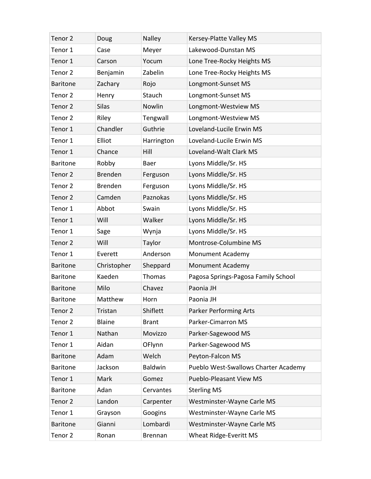| Tenor 2            | Doug           | Nalley       | Kersey-Platte Valley MS              |
|--------------------|----------------|--------------|--------------------------------------|
| Tenor 1            | Case           | Meyer        | Lakewood-Dunstan MS                  |
| Tenor 1            | Carson         | Yocum        | Lone Tree-Rocky Heights MS           |
| Tenor 2            | Benjamin       | Zabelin      | Lone Tree-Rocky Heights MS           |
| <b>Baritone</b>    | Zachary        | Rojo         | Longmont-Sunset MS                   |
| Tenor 2            | Henry          | Stauch       | Longmont-Sunset MS                   |
| Tenor <sub>2</sub> | <b>Silas</b>   | Nowlin       | Longmont-Westview MS                 |
| Tenor 2            | Riley          | Tengwall     | Longmont-Westview MS                 |
| Tenor 1            | Chandler       | Guthrie      | Loveland-Lucile Erwin MS             |
| Tenor 1            | Elliot         | Harrington   | Loveland-Lucile Erwin MS             |
| Tenor 1            | Chance         | Hill         | Loveland-Walt Clark MS               |
| <b>Baritone</b>    | Robby          | Baer         | Lyons Middle/Sr. HS                  |
| Tenor 2            | <b>Brenden</b> | Ferguson     | Lyons Middle/Sr. HS                  |
| Tenor 2            | <b>Brenden</b> | Ferguson     | Lyons Middle/Sr. HS                  |
| Tenor 2            | Camden         | Paznokas     | Lyons Middle/Sr. HS                  |
| Tenor 1            | Abbot          | Swain        | Lyons Middle/Sr. HS                  |
| Tenor 1            | Will           | Walker       | Lyons Middle/Sr. HS                  |
| Tenor 1            | Sage           | Wynja        | Lyons Middle/Sr. HS                  |
| Tenor <sub>2</sub> | Will           | Taylor       | Montrose-Columbine MS                |
| Tenor 1            | Everett        | Anderson     | Monument Academy                     |
| <b>Baritone</b>    | Christopher    | Sheppard     | Monument Academy                     |
| <b>Baritone</b>    | Kaeden         | Thomas       | Pagosa Springs-Pagosa Family School  |
| <b>Baritone</b>    | Milo           | Chavez       | Paonia JH                            |
| <b>Baritone</b>    | Matthew        | Horn         | Paonia JH                            |
| Tenor 2            | Tristan        | Shiflett     | <b>Parker Performing Arts</b>        |
| Tenor 2            | <b>Blaine</b>  | <b>Brant</b> | Parker-Cimarron MS                   |
| Tenor 1            | Nathan         | Movizzo      | Parker-Sagewood MS                   |
| Tenor 1            | Aidan          | OFlynn       | Parker-Sagewood MS                   |
| <b>Baritone</b>    | Adam           | Welch        | Peyton-Falcon MS                     |
| <b>Baritone</b>    | Jackson        | Baldwin      | Pueblo West-Swallows Charter Academy |
| Tenor 1            | Mark           | Gomez        | Pueblo-Pleasant View MS              |
| <b>Baritone</b>    | Adan           | Cervantes    | <b>Sterling MS</b>                   |
| Tenor <sub>2</sub> | Landon         | Carpenter    | Westminster-Wayne Carle MS           |
| Tenor 1            | Grayson        | Googins      | Westminster-Wayne Carle MS           |
| <b>Baritone</b>    | Gianni         | Lombardi     | Westminster-Wayne Carle MS           |
| Tenor <sub>2</sub> | Ronan          | Brennan      | Wheat Ridge-Everitt MS               |